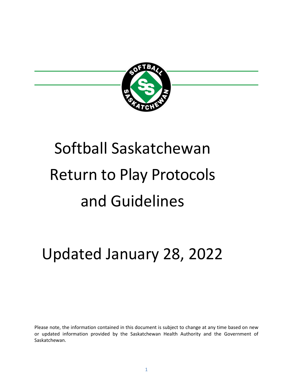

# Softball Saskatchewan Return to Play Protocols and Guidelines

# Updated January 28, 2022

Please note, the information contained in this document is subject to change at any time based on new or updated information provided by the Saskatchewan Health Authority and the Government of Saskatchewan.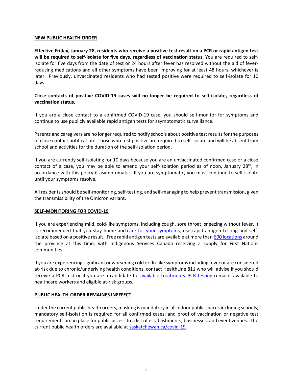#### **NEW PUBLIC HEALTH ORDER**

**Effective Friday, January 28, residents who receive a positive test result on a PCR or rapid antigen test will be required to self-isolate for five days, regardless of vaccination status**. You are required to selfisolate for five days from the date of test or 24 hours after fever has resolved without the aid of feverreducing medications and all other symptoms have been improving for at least 48 hours, whichever is later. Previously, unvaccinated residents who had tested positive were required to self-isolate for 10 days.

# **Close contacts of positive COVID-19 cases will no longer be required to self-isolate, regardless of vaccination status.**

If you are a close contact to a confirmed COVID-19 case, you should self-monitor for symptoms and continue to use publicly available rapid antigen tests for asymptomatic surveillance.

Parents and caregivers are no longer required to notify schools about positive test results for the purposes of close contact notification. Those who test positive are required to self-isolate and will be absent from school and activities for the duration of the self-isolation period.

If you are currently self-isolating for 10 days because you are an unvaccinated confirmed case or a close contact of a case, you may be able to amend your self-isolation period as of noon, January  $28<sup>th</sup>$ , in accordance with this policy if asymptomatic. If you are symptomatic, you must continue to self-isolate until your symptoms resolve.

All residents should be self-monitoring, self-testing, and self-managing to help prevent transmission, given the transmissibility of the Omicron variant.

## **SELF-MONITORING FOR COVID-19**

If you are experiencing mild, cold-like symptoms, including cough, sore throat, sneezing without fever, it is recommended that you stay home and [care for your symptoms,](https://www.saskatchewan.ca/government/health-care-administration-and-provider-resources/treatment-procedures-and-guidelines/emerging-public-health-issues/2019-novel-coronavirus/about-covid-19/what-to-do-if-you-test-positive) use rapid antigen testing and self-isolate based on a positive result. Free rapid antigen tests are available at more than [600 locations](https://www.saskatchewan.ca/government/health-care-administration-and-provider-resources/treatment-procedures-and-guidelines/emerging-public-health-issues/2019-novel-coronavirus/testing-information/rapid-testing) around the province at this time, with Indigenous Services Canada receiving a supply for First Nations communities.

If you are experiencing significant or worsening cold or flu-like symptoms including fever or are considered at-risk due to chronic/underlying health conditions, contact HealthLine 811 who will advise if you should receive a PCR test or if you are a candidate for [available treatments.](https://www.saskatchewan.ca/government/health-care-administration-and-provider-resources/treatment-procedures-and-guidelines/emerging-public-health-issues/2019-novel-coronavirus/testing-information/covid-19-treatments) [PCR testing](https://www.saskatchewan.ca/government/health-care-administration-and-provider-resources/treatment-procedures-and-guidelines/emerging-public-health-issues/2019-novel-coronavirus/testing-information/when) remains available to healthcare workers and eligible at-risk groups.

## **PUBLIC HEALTH-ORDER REMAINES INEFFECT**

Under the current public health orders, masking is mandatory in all indoor public spaces including schools; mandatory self-isolation is required for all confirmed cases; and proof of vaccination or negative test requirements are in place for public access to a list of establishments, businesses, and event venues. The current public health orders are available at [saskatchewan.ca/covid-19.](https://www.saskatchewan.ca/government/health-care-administration-and-provider-resources/treatment-procedures-and-guidelines/emerging-public-health-issues/2019-novel-coronavirus/public-health-measures)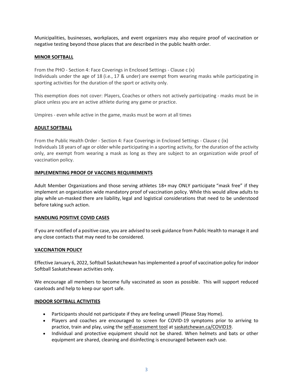Municipalities, businesses, workplaces, and event organizers may also require proof of vaccination or negative testing beyond those places that are described in the public health order.

#### **MINOR SOFTBALL**

From the PHO - Section 4: Face Coverings in Enclosed Settings - Clause c (x) Individuals under the age of 18 (i.e., 17 & under) are exempt from wearing masks while participating in sporting activities for the duration of the sport or activity only.

This exemption does not cover: Players, Coaches or others not actively participating - masks must be in place unless you are an active athlete during any game or practice.

Umpires - even while active in the game, masks must be worn at all times

## **ADULT SOFTBALL**

From the Public Health Order - Section 4: Face Coverings in Enclosed Settings - Clause c (ix) Individuals 18 years of age or older while participating in a sporting activity, for the duration of the activity only, are exempt from wearing a mask as long as they are subject to an organization wide proof of vaccination policy.

#### **IMPLEMENTING PROOF OF VACCINES REQUIREMENTS**

Adult Member Organizations and those serving athletes 18+ may ONLY participate "mask free" if they implement an organization wide mandatory proof of vaccination policy. While this would allow adults to play while un-masked there are liability, legal and logistical considerations that need to be understood before taking such action.

#### **HANDLING POSITIVE COVID CASES**

If you are notified of a positive case, you are advised to seek guidance from Public Health to manage it and any close contacts that may need to be considered.

## **VACCINATION POLICY**

Effective January 6, 2022, Softball Saskatchewan has implemented a proof of vaccination policy for indoor Softball Saskatchewan activities only.

We encourage all members to become fully vaccinated as soon as possible. This will support reduced caseloads and help to keep our sport safe.

#### **INDOOR SOFTBALL ACTIVITIES**

- Participants should not participate if they are feeling unwell (Please Stay Home).
- Players and coaches are encouraged to screen for COVID-19 symptoms prior to arriving to practice, train and play, using the [self-assessment tool](https://www.saskatchewan.ca/government/health-care-administration-and-provider-resources/treatment-procedures-and-guidelines/emerging-public-health-issues/2019-novel-coronavirus/about-covid-19/covid-19-self-assessment) at [saskatchewan.ca/COVID19.](https://www.saskatchewan.ca/government/health-care-administration-and-provider-resources/treatment-procedures-and-guidelines/emerging-public-health-issues/2019-novel-coronavirus)
- Individual and protective equipment should not be shared. When helmets and bats or other equipment are shared, cleaning and disinfecting is encouraged between each use.